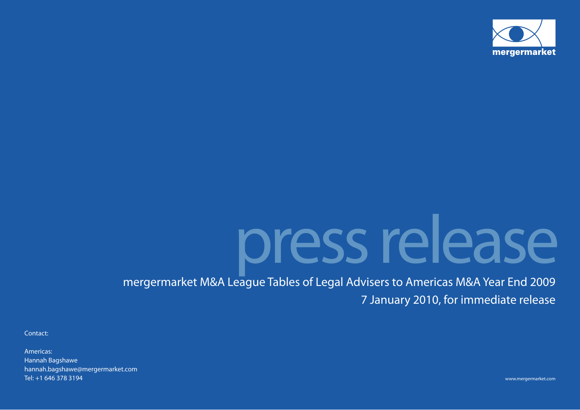

# press release

mergermarket M&A League Tables of Legal Advisers to Americas M&A Year End 2009 7 January 2010, for immediate release

Contact:

Americas:Hannah Bagshawe hannah.bagshawe@mergermarket.com Tel: +1 646 378 3194

www.mergermarket.com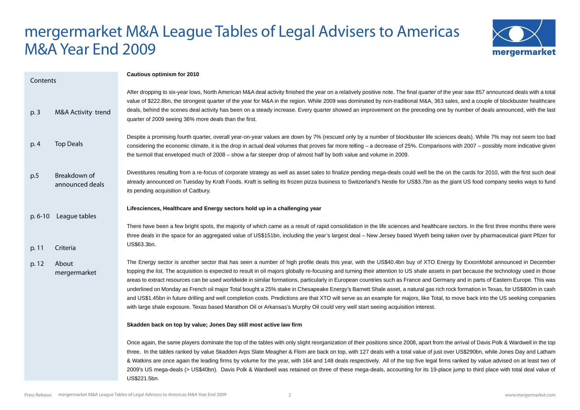## mergermarket M&A League Tables of Legal Advisers to Americas M&A Year End 2009



| Contents       |                                   | Cautious optimism for 2010                                                                                                                                                                                                                                                                                                                                                                                                                                                                                                                                                                                                                                                                                                                                                                                                                                                                                                                                                                                                                                  |
|----------------|-----------------------------------|-------------------------------------------------------------------------------------------------------------------------------------------------------------------------------------------------------------------------------------------------------------------------------------------------------------------------------------------------------------------------------------------------------------------------------------------------------------------------------------------------------------------------------------------------------------------------------------------------------------------------------------------------------------------------------------------------------------------------------------------------------------------------------------------------------------------------------------------------------------------------------------------------------------------------------------------------------------------------------------------------------------------------------------------------------------|
| p. 3           | M&A Activity trend                | After dropping to six-year lows, North American M&A deal activity finished the year on a relatively positive note. The final quarter of the year saw 857 announced deals with a total<br>value of \$222.8bn, the strongest quarter of the year for M&A in the region. While 2009 was dominated by non-traditional M&A, 363 sales, and a couple of blockbuster healthcare<br>deals, behind the scenes deal activity has been on a steady increase. Every quarter showed an improvement on the preceding one by number of deals announced, with the last<br>quarter of 2009 seeing 36% more deals than the first.                                                                                                                                                                                                                                                                                                                                                                                                                                             |
| p. 4           | <b>Top Deals</b>                  | Despite a promising fourth quarter, overall year-on-year values are down by 7% (rescued only by a number of blockbuster life sciences deals). While 7% may not seem too bad<br>considering the economic climate, it is the drop in actual deal volumes that proves far more telling – a decrease of 25%. Comparisons with 2007 – possibly more indicative given<br>the turmoil that enveloped much of 2008 - show a far steeper drop of almost half by both value and volume in 2009.                                                                                                                                                                                                                                                                                                                                                                                                                                                                                                                                                                       |
| p.5            | Breakdown of<br>announced deals   | Divestitures resulting from a re-focus of corporate strategy as well as asset sales to finalize pending mega-deals could well be the on the cards for 2010, with the first such deal<br>already announced on Tuesday by Kraft Foods. Kraft is selling its frozen pizza business to Switzerland's Nestle for US\$3.7bn as the giant US food company seeks ways to fund<br>its pending acquisition of Cadbury.                                                                                                                                                                                                                                                                                                                                                                                                                                                                                                                                                                                                                                                |
|                | p. 6-10 League tables             | Lifesciences, Healthcare and Energy sectors hold up in a challenging year<br>There have been a few bright spots, the majority of which came as a result of rapid consolidation in the life sciences and healthcare sectors. In the first three months there were<br>three deals in the space for an aggregated value of US\$151bn, including the year's largest deal - New Jersey based Wyeth being taken over by pharmaceutical giant Pfizer for<br>US\$63.3bn.                                                                                                                                                                                                                                                                                                                                                                                                                                                                                                                                                                                            |
| p. 11<br>p. 12 | Criteria<br>About<br>mergermarket | The Energy sector is another sector that has seen a number of high profile deals this year, with the US\$40.4bn buy of XTO Energy by ExxonMobil announced in December<br>topping the list. The acquisition is expected to result in oil majors globally re-focusing and turning their attention to US shale assets in part because the technology used in those<br>areas to extract resources can be used worldwide in similar formations, particularly in European countries such as France and Germany and in parts of Eastern Europe. This was<br>underlined on Monday as French oil major Total bought a 25% stake in Chesapeake Energy's Barnett Shale asset, a natural gas rich rock formation in Texas, for US\$800m in cash<br>and US\$1.45bn in future drilling and well completion costs. Predictions are that XTO will serve as an example for majors, like Total, to move back into the US seeking companies<br>with large shale exposure. Texas based Marathon Oil or Arkansas's Murphy Oil could very well start seeing acquisition interest. |
|                |                                   | Skadden back on top by value; Jones Day still most active law firm                                                                                                                                                                                                                                                                                                                                                                                                                                                                                                                                                                                                                                                                                                                                                                                                                                                                                                                                                                                          |
|                |                                   | Once again, the same players dominate the top of the tables with only slight reorganization of their positions since 2008, apart from the arrival of Davis Polk & Wardwell in the top<br>three. In the tables ranked by value Skadden Arps Slate Meagher & Flom are back on top, with 127 deals with a total value of just over US\$290bn, while Jones Day and Latham<br>& Watkins are once again the leading firms by volume for the year, with 164 and 148 deals respectively. All of the top five legal firms ranked by value advised on at least two of<br>2009's US mega-deals (> US\$40bn). Davis Polk & Wardwell was retained on three of these mega-deals, accounting for its 19-place jump to third place with total deal value of<br>US\$221.5bn.                                                                                                                                                                                                                                                                                                 |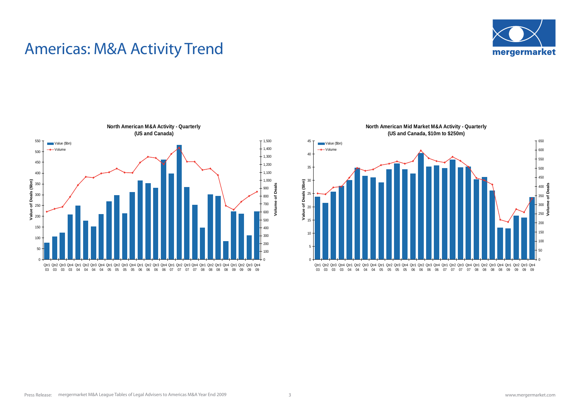

## Americas: M&A Activity Trend



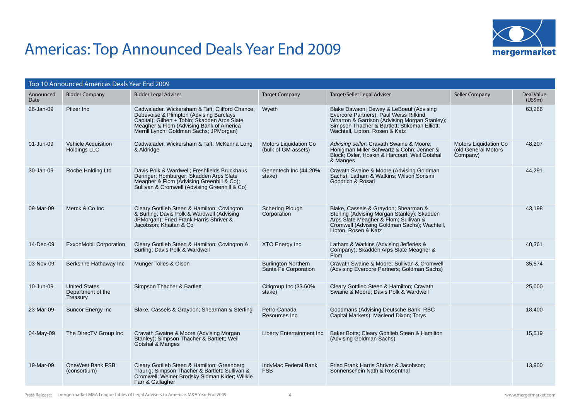

## Americas: Top Announced Deals Year End 2009

|                   | Top 10 Announced Americas Deals Year End 2009         |                                                                                                                                                                                                                                    |                                                    |                                                                                                                                                                                                                       |                                                          |                       |
|-------------------|-------------------------------------------------------|------------------------------------------------------------------------------------------------------------------------------------------------------------------------------------------------------------------------------------|----------------------------------------------------|-----------------------------------------------------------------------------------------------------------------------------------------------------------------------------------------------------------------------|----------------------------------------------------------|-----------------------|
| Announced<br>Date | <b>Bidder Company</b>                                 | <b>Bidder Legal Adviser</b>                                                                                                                                                                                                        | <b>Target Company</b>                              | Target/Seller Legal Adviser                                                                                                                                                                                           | Seller Company                                           | Deal Value<br>(US\$m) |
| 26-Jan-09         | Pfizer Inc                                            | Cadwalader, Wickersham & Taft; Clifford Chance;<br>Debevoise & Plimpton (Advising Barclays<br>Capital); Gilbert + Tobin; Skadden Arps Slate<br>Meagher & Flom (Advising Bank of America<br>Merrill Lynch; Goldman Sachs; JPMorgan) | Wyeth                                              | Blake Dawson; Dewey & LeBoeuf (Advising<br>Evercore Partners); Paul Weiss Rifkind<br>Wharton & Garrison (Advising Morgan Stanley);<br>Simpson Thacher & Bartlett; Stikeman Elliott;<br>Wachtell, Lipton, Rosen & Katz |                                                          | 63,266                |
| 01-Jun-09         | <b>Vehicle Acquisition</b><br>Holdings LLC            | Cadwalader, Wickersham & Taft; McKenna Long<br>& Aldridge                                                                                                                                                                          | Motors Liquidation Co<br>(bulk of GM assets)       | Advising seller: Cravath Swaine & Moore;<br>Honigman Miller Schwartz & Cohn; Jenner &<br>Block; Osler, Hoskin & Harcourt; Weil Gotshal<br>& Manges                                                                    | Motors Liquidation Co<br>(old General Motors<br>Company) | 48,207                |
| 30-Jan-09         | Roche Holding Ltd                                     | Davis Polk & Wardwell: Freshfields Bruckhaus<br>Deringer; Homburger; Skadden Arps Slate<br>Meagher & Flom (Advising Greenhill & Co);<br>Sullivan & Cromwell (Advising Greenhill & Co)                                              | Genentech Inc (44.20%<br>stake)                    | Cravath Swaine & Moore (Advising Goldman<br>Sachs); Latham & Watkins; Wilson Sonsini<br>Goodrich & Rosati                                                                                                             |                                                          | 44,291                |
| 09-Mar-09         | Merck & Co Inc.                                       | Cleary Gottlieb Steen & Hamilton; Covington<br>& Burling; Davis Polk & Wardwell (Advising<br>JPMorgan); Fried Frank Harris Shriver &<br>Jacobson; Khaitan & Co                                                                     | <b>Schering Plough</b><br>Corporation              | Blake, Cassels & Graydon; Shearman &<br>Sterling (Advising Morgan Stanley); Skadden<br>Arps Slate Meagher & Flom; Sullivan &<br>Cromwell (Advising Goldman Sachs); Wachtell,<br>Lipton, Rosen & Katz                  |                                                          | 43.198                |
| 14-Dec-09         | ExxonMobil Corporation                                | Cleary Gottlieb Steen & Hamilton; Covington &<br>Burling; Davis Polk & Wardwell                                                                                                                                                    | <b>XTO Energy Inc</b>                              | Latham & Watkins (Advising Jefferies &<br>Company); Skadden Arps Slate Meagher &<br>Flom                                                                                                                              |                                                          | 40,361                |
| 03-Nov-09         | Berkshire Hathaway Inc                                | Munger Tolles & Olson                                                                                                                                                                                                              | <b>Burlington Northern</b><br>Santa Fe Corporation | Cravath Swaine & Moore; Sullivan & Cromwell<br>(Advising Evercore Partners; Goldman Sachs)                                                                                                                            |                                                          | 35,574                |
| 10-Jun-09         | <b>United States</b><br>Department of the<br>Treasury | Simpson Thacher & Bartlett                                                                                                                                                                                                         | Citigroup Inc (33.60%<br>stake)                    | Cleary Gottlieb Steen & Hamilton; Cravath<br>Swaine & Moore; Davis Polk & Wardwell                                                                                                                                    |                                                          | 25,000                |
| 23-Mar-09         | <b>Suncor Energy Inc</b>                              | Blake, Cassels & Graydon; Shearman & Sterling                                                                                                                                                                                      | Petro-Canada<br>Resources Inc.                     | Goodmans (Advising Deutsche Bank; RBC<br>Capital Markets); Macleod Dixon; Torys                                                                                                                                       |                                                          | 18,400                |
| 04-May-09         | The DirecTV Group Inc                                 | Cravath Swaine & Moore (Advising Morgan<br>Stanley); Simpson Thacher & Bartlett; Weil<br>Gotshal & Manges                                                                                                                          | Liberty Entertainment Inc                          | Baker Botts; Cleary Gottlieb Steen & Hamilton<br>(Advising Goldman Sachs)                                                                                                                                             |                                                          | 15,519                |
| 19-Mar-09         | OneWest Bank FSB<br>(consortium)                      | Cleary Gottlieb Steen & Hamilton; Greenberg<br>Traurig; Simpson Thacher & Bartlett; Sullivan &<br>Cromwell; Weiner Brodsky Sidman Kider; Willkie<br>Farr & Gallagher                                                               | IndyMac Federal Bank<br>FSB                        | Fried Frank Harris Shriver & Jacobson;<br>Sonnenschein Nath & Rosenthal                                                                                                                                               |                                                          | 13,900                |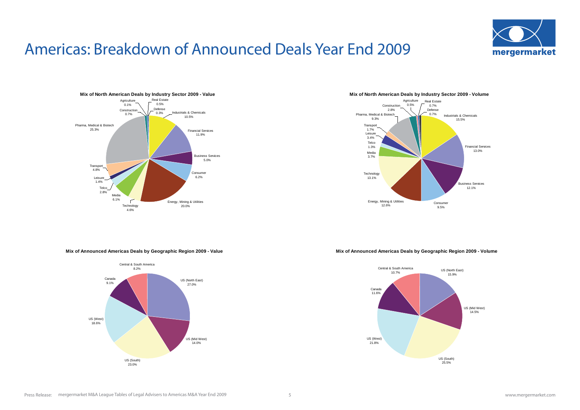## Americas: Breakdown of Announced Deals Year End 2009





#### **Mix of North American Deals by Industry Sector 2009 - Volume**



#### **Mix of Announced Americas Deals by Geographic Region 2009 - Value**



#### **Mix of Announced Americas Deals by Geographic Region 2009 - Volume**

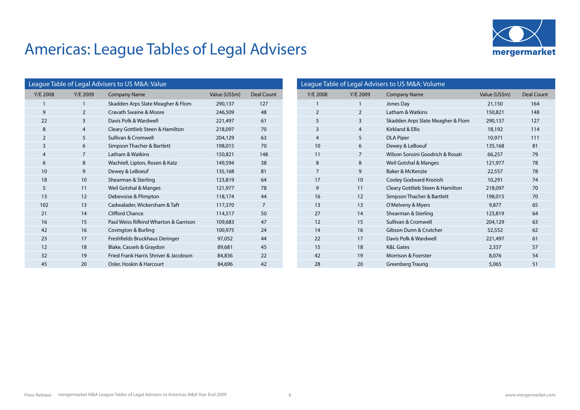

| League Table of Legal Advisers to US M&A: Value |          |                                       |               |                |  |
|-------------------------------------------------|----------|---------------------------------------|---------------|----------------|--|
| Y/E 2008                                        | Y/E 2009 | <b>Company Name</b>                   | Value (US\$m) | Deal Count     |  |
| 1                                               | 1        | Skadden Arps Slate Meagher & Flom     | 290,137       | 127            |  |
| 9                                               | 2        | Cravath Swaine & Moore                | 246,509       | 48             |  |
| 22                                              | 3        | Davis Polk & Wardwell                 | 221,497       | 61             |  |
| 8                                               | 4        | Cleary Gottlieb Steen & Hamilton      | 218,097       | 70             |  |
| $\overline{2}$                                  | 5        | Sullivan & Cromwell                   | 204,129       | 63             |  |
| 3                                               | 6        | Simpson Thacher & Bartlett            | 198,015       | 70             |  |
| $\overline{4}$                                  | 7        | Latham & Watkins                      | 150,821       | 148            |  |
| 6                                               | 8        | Wachtell, Lipton, Rosen & Katz        | 149,594       | 38             |  |
| 10                                              | 9        | Dewey & LeBoeuf                       | 135,168       | 81             |  |
| 18                                              | 10       | Shearman & Sterling                   | 123,819       | 64             |  |
| 5                                               | 11       | Weil Gotshal & Manges                 | 121,977       | 78             |  |
| 13                                              | 12       | Debevoise & Plimpton                  | 118,174       | 44             |  |
| 102                                             | 13       | Cadwalader, Wickersham & Taft         | 117,370       | $\overline{7}$ |  |
| 21                                              | 14       | Clifford Chance                       | 114,517       | 50             |  |
| 16                                              | 15       | Paul Weiss Rifkind Wharton & Garrison | 109,683       | 47             |  |
| 42                                              | 16       | Covington & Burling                   | 100,975       | 24             |  |
| 23                                              | 17       | Freshfields Bruckhaus Deringer        | 97,052        | 44             |  |
| 12                                              | 18       | Blake, Cassels & Graydon              | 89,681        | 45             |  |
| 32                                              | 19       | Fried Frank Harris Shriver & Jacobson | 84,836        | 22             |  |
| 45                                              | 20       | Osler, Hoskin & Harcourt              | 84,696        | 42             |  |

| League Table of Legal Advisers to US M&A: Volume |                |                                   |               |            |  |
|--------------------------------------------------|----------------|-----------------------------------|---------------|------------|--|
| Y/E 2008                                         | Y/E 2009       | <b>Company Name</b>               | Value (US\$m) | Deal Count |  |
| $\mathbf{1}$                                     | 1              | Jones Day                         | 21,150        | 164        |  |
| $\overline{2}$                                   | $\overline{2}$ | Latham & Watkins                  | 150,821       | 148        |  |
| 5                                                | 3              | Skadden Arps Slate Meagher & Flom | 290,137       | 127        |  |
| $\overline{3}$                                   | 4              | Kirkland & Ellis                  | 18,192        | 114        |  |
| $\overline{4}$                                   | 5              | <b>DLA Piper</b>                  | 10,971        | 111        |  |
| 10                                               | 6              | Dewey & LeBoeuf                   | 135,168       | 81         |  |
| 11                                               | 7              | Wilson Sonsini Goodrich & Rosati  | 66,257        | 79         |  |
| 8                                                | 8              | Weil Gotshal & Manges             | 121,977       | 78         |  |
| $\overline{7}$                                   | 9              | Baker & McKenzie                  | 22,557        | 78         |  |
| 17                                               | 10             | Cooley Godward Kronish            | 10,291        | 74         |  |
| 9                                                | 11             | Cleary Gottlieb Steen & Hamilton  | 218,097       | 70         |  |
| 16                                               | 12             | Simpson Thacher & Bartlett        | 198,015       | 70         |  |
| 13                                               | 13             | O'Melveny & Myers                 | 9,877         | 65         |  |
| 27                                               | 14             | Shearman & Sterling               | 123,819       | 64         |  |
| 12                                               | 15             | Sullivan & Cromwell               | 204,129       | 63         |  |
| 14                                               | 16             | Gibson Dunn & Crutcher            | 52,552        | 62         |  |
| 22                                               | 17             | Davis Polk & Wardwell             | 221,497       | 61         |  |
| 15                                               | 18             | <b>K&amp;L Gates</b>              | 2,337         | 57         |  |
| 42                                               | 19             | <b>Morrison &amp; Foerster</b>    | 8,076         | 54         |  |
| 28                                               | 20             | Greenberg Traurig                 | 5,065         | 51         |  |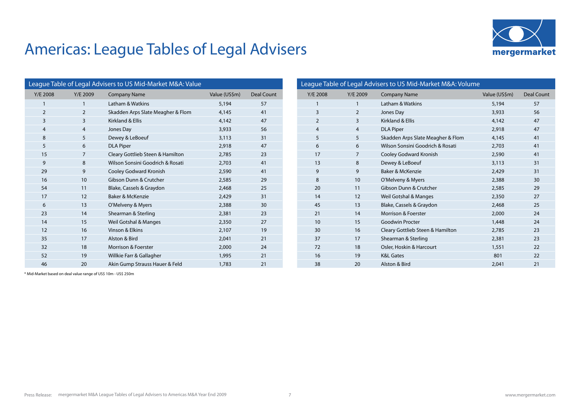

| League Table of Legal Advisers to US Mid-Market M&A: Value |              |                                   |               |                   |  |
|------------------------------------------------------------|--------------|-----------------------------------|---------------|-------------------|--|
| Y/E 2008                                                   | Y/E 2009     | <b>Company Name</b>               | Value (US\$m) | <b>Deal Count</b> |  |
| 1                                                          | $\mathbf{1}$ | Latham & Watkins                  | 5,194         | 57                |  |
| $\overline{2}$                                             | 2            | Skadden Arps Slate Meagher & Flom | 4,145         | 41                |  |
| $\overline{3}$                                             | 3            | Kirkland & Ellis                  | 4,142         | 47                |  |
| $\overline{4}$                                             | 4            | Jones Day                         | 3,933         | 56                |  |
| 8                                                          | 5            | Dewey & LeBoeuf                   | 3,113         | 31                |  |
| 5                                                          | 6            | <b>DLA Piper</b>                  | 2,918         | 47                |  |
| 15                                                         | 7            | Cleary Gottlieb Steen & Hamilton  | 2,785         | 23                |  |
| 9                                                          | 8            | Wilson Sonsini Goodrich & Rosati  | 2,703         | 41                |  |
| 29                                                         | 9            | Cooley Godward Kronish            | 2,590         | 41                |  |
| 16                                                         | 10           | Gibson Dunn & Crutcher            | 2,585         | 29                |  |
| 54                                                         | 11           | Blake, Cassels & Graydon          | 2.468         | 25                |  |
| 17                                                         | 12           | Baker & McKenzie                  | 2,429         | 31                |  |
| 6                                                          | 13           | O'Melveny & Myers                 | 2,388         | 30                |  |
| 23                                                         | 14           | Shearman & Sterling               | 2,381         | 23                |  |
| 14                                                         | 15           | Weil Gotshal & Manges             | 2,350         | 27                |  |
| 12                                                         | 16           | Vinson & Elkins                   | 2,107         | 19                |  |
| 35                                                         | 17           | Alston & Bird                     | 2,041         | 21                |  |
| 32                                                         | 18           | Morrison & Foerster               | 2,000         | 24                |  |
| 52                                                         | 19           | Willkie Farr & Gallagher          | 1,995         | 21                |  |
| 46                                                         | 20           | Akin Gump Strauss Hauer & Feld    | 1,783         | 21                |  |

| League Table of Legal Advisers to US Mid-Market M&A: Volume |                |                                   |               |                   |  |  |
|-------------------------------------------------------------|----------------|-----------------------------------|---------------|-------------------|--|--|
| Y/E 2008                                                    | Y/E 2009       | <b>Company Name</b>               | Value (US\$m) | <b>Deal Count</b> |  |  |
| 1                                                           | 1              | Latham & Watkins                  | 5,194         | 57                |  |  |
| 3                                                           | $\overline{2}$ | Jones Day                         | 3,933         | 56                |  |  |
| $\overline{2}$                                              | 3              | Kirkland & Ellis                  | 4,142         | 47                |  |  |
| $\overline{4}$                                              | $\overline{4}$ | <b>DLA Piper</b>                  | 2,918         | 47                |  |  |
| 5                                                           | 5              | Skadden Arps Slate Meagher & Flom | 4,145         | 41                |  |  |
| 6                                                           | 6              | Wilson Sonsini Goodrich & Rosati  | 2,703         | 41                |  |  |
| 17                                                          | $\overline{7}$ | Cooley Godward Kronish            | 2,590         | 41                |  |  |
| 13                                                          | 8              | Dewey & LeBoeuf                   | 3,113         | 31                |  |  |
| 9                                                           | 9              | Baker & McKenzie                  | 2,429         | 31                |  |  |
| 8                                                           | 10             | O'Melveny & Myers                 | 2,388         | 30                |  |  |
| 20                                                          | 11             | Gibson Dunn & Crutcher            | 2,585         | 29                |  |  |
| 14                                                          | 12             | Weil Gotshal & Manges             | 2,350         | 27                |  |  |
| 45                                                          | 13             | Blake, Cassels & Graydon          | 2,468         | 25                |  |  |
| 21                                                          | 14             | Morrison & Foerster               | 2,000         | 24                |  |  |
| 10                                                          | 15             | <b>Goodwin Procter</b>            | 1,448         | 24                |  |  |
| 30                                                          | 16             | Cleary Gottlieb Steen & Hamilton  | 2,785         | 23                |  |  |
| 37                                                          | 17             | Shearman & Sterling               | 2,381         | 23                |  |  |
| 72                                                          | 18             | Osler, Hoskin & Harcourt          | 1,551         | 22                |  |  |
| 16                                                          | 19             | <b>K&amp;L Gates</b>              | 801           | 22                |  |  |
| 38                                                          | 20             | Alston & Bird                     | 2,041         | 21                |  |  |

\* Mid-Market based on deal value range of US\$ 10m - US\$ 250m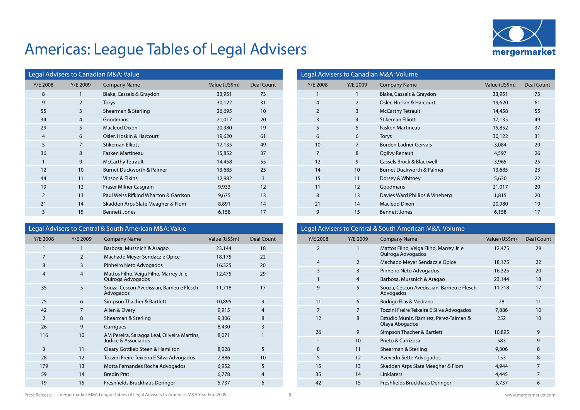

| Legal Advisers to Canadian M&A: Value |                |                                       |               |                   |  |
|---------------------------------------|----------------|---------------------------------------|---------------|-------------------|--|
| Y/E 2008                              | Y/E 2009       | <b>Company Name</b>                   | Value (US\$m) | <b>Deal Count</b> |  |
| 8                                     | 1              | Blake, Cassels & Graydon              | 33,951        | 73                |  |
| 9                                     | $\overline{2}$ | <b>Torys</b>                          | 30,122        | 31                |  |
| 55                                    | 3              | Shearman & Sterling                   | 26,695        | 10                |  |
| 34                                    | $\overline{4}$ | Goodmans                              | 21,017        | 20                |  |
| 29                                    | 5              | <b>Macleod Dixon</b>                  | 20,980        | 19                |  |
| $\overline{4}$                        | 6              | Osler, Hoskin & Harcourt              | 19,620        | 61                |  |
| 5                                     | 7              | <b>Stikeman Elliott</b>               | 17,135        | 49                |  |
| 36                                    | 8              | Fasken Martineau                      | 15,852        | 37                |  |
| $\mathbf{1}$                          | 9              | <b>McCarthy Tetrault</b>              | 14,458        | 55                |  |
| 12                                    | 10             | <b>Burnet Duckworth &amp; Palmer</b>  | 13,685        | 23                |  |
| 44                                    | 11             | Vinson & Elkins                       | 12,982        | 3                 |  |
| 19                                    | 12             | Fraser Milner Casgrain                | 9,933         | 12                |  |
| $\overline{2}$                        | 13             | Paul Weiss Rifkind Wharton & Garrison | 9,675         | 13                |  |
| 21                                    | 14             | Skadden Arps Slate Meagher & Flom     | 8,891         | 14                |  |
| 3                                     | 15             | <b>Bennett Jones</b>                  | 6,158         | 17                |  |

## Legal Advisers to Central & South American M&A: Value

| Y/E 2008       | Y/E 2009       | <b>Company Name</b>                                                | Value (US\$m) | <b>Deal Count</b> |
|----------------|----------------|--------------------------------------------------------------------|---------------|-------------------|
| 1              | 1              | Barbosa, Mussnich & Aragao                                         | 23,144        | 18                |
| 7              | 2              | Machado Meyer Sendacz e Opice                                      | 18,175        | 22                |
| 8              | 3              | Pinheiro Neto Advogados                                            | 16,325        | 20                |
| $\overline{4}$ | $\overline{4}$ | Mattos Filho, Veiga Filho, Marrey Jr. e<br>Quiroga Advogados       | 12,475        | 29                |
| 35             | 5              | Souza, Cescon Avedissian, Barrieu e Flesch<br>Advogados            | 11,718        | 17                |
| 25             | 6              | Simpson Thacher & Bartlett                                         | 10,895        | 9                 |
| 42             | 7              | Allen & Overy                                                      | 9,915         | 4                 |
| 2              | 8              | Shearman & Sterling                                                | 9,306         | 8                 |
| 26             | 9              | Garrigues                                                          | 8,430         | 3                 |
| 116            | 10             | AM Pereira, Saragga Leal, Oliveira Martins,<br>Judice & Associados | 8,071         | 1                 |
| 3              | 11             | Cleary Gottlieb Steen & Hamilton                                   | 8,028         | 5                 |
| 28             | 12             | Tozzini Freire Teixeira E Silva Advogados                          | 7,886         | 10                |
| 179            | 13             | Motta Fernandes Rocha Advogados                                    | 6,952         | 5                 |
| 59             | 14             | <b>Bredin Prat</b>                                                 | 6,778         | 4                 |
| 19             | 15             | Freshfields Bruckhaus Deringer                                     | 5,737         | 6                 |

| Legal Advisers to Canadian M&A: Volume |                |                                      |               |            |  |
|----------------------------------------|----------------|--------------------------------------|---------------|------------|--|
| Y/E 2008                               | Y/E 2009       | <b>Company Name</b>                  | Value (US\$m) | Deal Count |  |
| $\mathbf{1}$                           | 1              | Blake, Cassels & Graydon             | 33,951        | 73         |  |
| $\overline{4}$                         | 2              | Osler, Hoskin & Harcourt             | 19,620        | 61         |  |
| 2                                      | 3              | <b>McCarthy Tetrault</b>             | 14,458        | 55         |  |
| 3                                      | $\overline{4}$ | <b>Stikeman Elliott</b>              | 17,135        | 49         |  |
| 5                                      | 5              | <b>Fasken Martineau</b>              | 15,852        | 37         |  |
| 6                                      | 6              | <b>Torys</b>                         | 30,122        | 31         |  |
| 10 <sup>1</sup>                        | $\overline{7}$ | Borden Ladner Gervais                | 3,084         | 29         |  |
| $\overline{7}$                         | 8              | Ogilvy Renault                       | 4,597         | 26         |  |
| 12                                     | 9              | Cassels Brock & Blackwell            | 3,965         | 25         |  |
| 14                                     | 10             | <b>Burnet Duckworth &amp; Palmer</b> | 13,685        | 23         |  |
| 15                                     | 11             | Dorsey & Whitney                     | 5,630         | 22         |  |
| 11                                     | 12             | Goodmans                             | 21,017        | 20         |  |
| 8                                      | 13             | Davies Ward Phillips & Vineberg      | 1,815         | 20         |  |
| 21                                     | 14             | <b>Macleod Dixon</b>                 | 20,980        | 19         |  |
| 9                                      | 15             | <b>Bennett Jones</b>                 | 6,158         | 17         |  |

#### Legal Advisers to Central & South American M&A: Volume Y/E 2008 Y/E 2009 Company Name Value (US\$m) Deal Count <sup>1</sup> Mattos Filho, Veiga Filho, Marrey Jr. e Quiroga Advogados 12,475 29 2 Machado Meyer Sendacz e Opice 18,175 22 3 Pinheiro Neto Advogados 16,325 20 1 1 4 Barbosa, Mussnich & Aragao 23,144 18 5 Souza, Cescon Avedissian, Barrieu e Flesch Advogados 11,718 17 11 6 Rodrigo Elias & Medrano 78 78 11 7 Tozzini Freire Teixeira E Silva Advogados 7,886 10 8 Estudio Muniz, Ramirez, Perez-Taiman & Olaya Abogados 26 9 Simpson Thacher & Bartlett 10,895 9 10 Prieto & Carrizosa 683  $\overline{9}$ 8 11 Shearman & Sterling 8 1 9,306 8 12 Azevedo Sette Advogados 153 8 15 13 Skadden Arps Slate Meagher & Flom 1,944 13 7 14 Linklaters 4,445 7 42 15 Freshfields Bruckhaus Deringer 5,737 6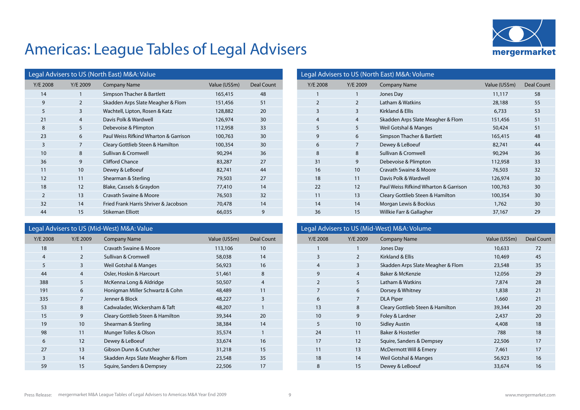

| Legal Advisers to US (North East) M&A: Value |                |                                       |               |            |  |
|----------------------------------------------|----------------|---------------------------------------|---------------|------------|--|
| Y/E 2008                                     | Y/E 2009       | <b>Company Name</b>                   | Value (US\$m) | Deal Count |  |
| 14                                           | 1              | Simpson Thacher & Bartlett            | 165,415       | 48         |  |
| 9                                            | $\overline{2}$ | Skadden Arps Slate Meagher & Flom     | 151,456       | 51         |  |
| 5                                            | 3              | Wachtell, Lipton, Rosen & Katz        | 128,882       | 20         |  |
| 21                                           | $\overline{4}$ | Davis Polk & Wardwell                 | 126,974       | 30         |  |
| 8                                            | 5              | Debevoise & Plimpton                  | 112,958       | 33         |  |
| 23                                           | 6              | Paul Weiss Rifkind Wharton & Garrison | 100,763       | 30         |  |
| 3                                            | 7              | Cleary Gottlieb Steen & Hamilton      | 100,354       | 30         |  |
| 10                                           | 8              | Sullivan & Cromwell                   | 90,294        | 36         |  |
| 36                                           | 9              | <b>Clifford Chance</b>                | 83,287        | 27         |  |
| 11                                           | 10             | Dewey & LeBoeuf                       | 82,741        | 44         |  |
| 12                                           | 11             | Shearman & Sterling                   | 79,503        | 27         |  |
| 18                                           | 12             | Blake, Cassels & Graydon              | 77,410        | 14         |  |
| $\overline{2}$                               | 13             | Cravath Swaine & Moore                | 76,503        | 32         |  |
| 32                                           | 14             | Fried Frank Harris Shriver & Jacobson | 70,478        | 14         |  |
| 44                                           | 15             | <b>Stikeman Elliott</b>               | 66,035        | 9          |  |

#### Legal Advisers to US (Mid-West) M&A: Value

| Y/E 2008       | Y/E 2009       | <b>Company Name</b>               | Value (US\$m) | <b>Deal Count</b> |
|----------------|----------------|-----------------------------------|---------------|-------------------|
| 18             | 1              | Cravath Swaine & Moore            | 113,106       | 10                |
| $\overline{4}$ | $\overline{2}$ | Sullivan & Cromwell               | 58,038        | 14                |
| 5              | 3              | Weil Gotshal & Manges             | 56,923        | 16                |
| 44             | $\overline{4}$ | Osler, Hoskin & Harcourt          | 51,461        | 8                 |
| 388            | 5              | McKenna Long & Aldridge           | 50,507        | 4                 |
| 191            | 6              | Honigman Miller Schwartz & Cohn   | 48,489        | 11                |
| 335            | 7              | Jenner & Block                    | 48,227        | 3                 |
| 53             | 8              | Cadwalader, Wickersham & Taft     | 48,207        | 1                 |
| 15             | 9              | Cleary Gottlieb Steen & Hamilton  | 39,344        | 20                |
| 19             | 10             | Shearman & Sterling               | 38,384        | 14                |
| 98             | 11             | Munger Tolles & Olson             | 35,574        | 1                 |
| 6              | 12             | Dewey & LeBoeuf                   | 33,674        | 16                |
| 27             | 13             | Gibson Dunn & Crutcher            | 31,218        | 15                |
| 3              | 14             | Skadden Arps Slate Meagher & Flom | 23,548        | 35                |
| 59             | 15             | Squire, Sanders & Dempsey         | 22,506        | 17                |
|                |                |                                   |               |                   |

| Legal Advisers to US (North East) M&A: Volume |                                       |               |            |  |  |  |
|-----------------------------------------------|---------------------------------------|---------------|------------|--|--|--|
| Y/E 2009                                      | <b>Company Name</b>                   | Value (US\$m) | Deal Count |  |  |  |
| 1                                             | Jones Day                             | 11,117        | 58         |  |  |  |
| $\overline{2}$                                | Latham & Watkins                      | 28,188        | 55         |  |  |  |
| 3                                             | Kirkland & Ellis                      | 6,733         | 53         |  |  |  |
| $\overline{4}$                                | Skadden Arps Slate Meagher & Flom     | 151,456       | 51         |  |  |  |
| 5                                             | Weil Gotshal & Manges                 | 50,424        | 51         |  |  |  |
| 6                                             | Simpson Thacher & Bartlett            | 165,415       | 48         |  |  |  |
| 7                                             | Dewey & LeBoeuf                       | 82,741        | 44         |  |  |  |
| 8                                             | Sullivan & Cromwell                   | 90,294        | 36         |  |  |  |
| 9                                             | Debevoise & Plimpton                  | 112,958       | 33         |  |  |  |
| 10                                            | Cravath Swaine & Moore                | 76,503        | 32         |  |  |  |
| 11                                            | Davis Polk & Wardwell                 | 126,974       | 30         |  |  |  |
| 12                                            | Paul Weiss Rifkind Wharton & Garrison | 100,763       | 30         |  |  |  |
| 13                                            | Cleary Gottlieb Steen & Hamilton      | 100,354       | 30         |  |  |  |
| 14                                            | Morgan Lewis & Bockius                | 1,762         | 30         |  |  |  |
| 15                                            | Willkie Farr & Gallagher              | 37,167        | 29         |  |  |  |
|                                               |                                       |               |            |  |  |  |

## Legal Advisers to US (Mid-West) M&A: Volume Y/E 2008 Y/E 2009 Company Name Value (US\$m) Deal Count 1 1 Jones Day 10,633 72 3 2 Kirkland & Ellis 10,469 45 3 Skadden Arps Slate Meagher & Flom 23,548 35 4 Baker & McKenzie 12,056 29 5 Latham & Watkins 7,874 28 7 and 1,838 1,838 1,838 1,838 1,838 1,838 1,838 1,838 1,838 1,838 1,838 1,838 1,838 1,838 1,838 1,838 1,838 1,838 1,838 1,838 1,838 1,838 1,838 1,838 1,838 1,838 1,838 1,838 1,838 1,838 1,838 1,838 1,838 1,838 1,838 1,838 7 DLA Piper 1,660 21 13 8 Cleary Gottlieb Steen & Hamilton 39,344 20 10 9 Foley & Lardner 2,437 20 10 Sidley Austin 4,408 18 24 11 Baker & Hostetler 788 17 12 Squire, Sanders & Dempsey 17 22,506 17 11 13 McDermott Will & Emery 17 17 17 18 14 Weil Gotshal & Manges 16 16 16,923 16 8 15 Dewey & LeBoeuf 33,674 16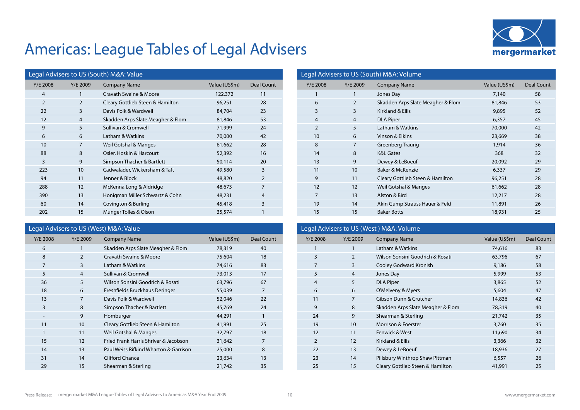

| Legal Advisers to US (South) M&A: Value |                                   |               |                |
|-----------------------------------------|-----------------------------------|---------------|----------------|
| Y/E 2009                                | <b>Company Name</b>               | Value (US\$m) | Deal Count     |
| 1                                       | Cravath Swaine & Moore            | 122,372       | 11             |
| $\overline{2}$                          | Cleary Gottlieb Steen & Hamilton  | 96,251        | 28             |
| 3                                       | Davis Polk & Wardwell             | 84,704        | 23             |
| $\overline{4}$                          | Skadden Arps Slate Meagher & Flom | 81,846        | 53             |
| 5                                       | Sullivan & Cromwell               | 71,999        | 24             |
| 6                                       | Latham & Watkins                  | 70,000        | 42             |
| 7                                       | Weil Gotshal & Manges             | 61,662        | 28             |
| 8                                       | Osler, Hoskin & Harcourt          | 52,392        | 16             |
| 9                                       | Simpson Thacher & Bartlett        | 50,114        | 20             |
| 10                                      | Cadwalader, Wickersham & Taft     | 49,580        | 3              |
| 11                                      | Jenner & Block                    | 48,820        | 2              |
| 12                                      | McKenna Long & Aldridge           | 48,673        | $\overline{7}$ |
| 13                                      | Honigman Miller Schwartz & Cohn   | 48,231        | 4              |
| 14                                      | Covington & Burling               | 45,418        | 3              |
| 15                                      | Munger Tolles & Olson             | 35,574        | 1              |
|                                         |                                   |               |                |

### Legal Advisers to US (West) M&A: Value

| Y/E 2008 | Y/E 2009       | <b>Company Name</b>                   | Value (US\$m) | Deal Count     |
|----------|----------------|---------------------------------------|---------------|----------------|
| 6        | 1              | Skadden Arps Slate Meagher & Flom     | 78,319        | 40             |
| 8        | $\overline{2}$ | Cravath Swaine & Moore                | 75,604        | 18             |
| 7        | 3              | Latham & Watkins                      | 74,616        | 83             |
| 5        | $\overline{4}$ | Sullivan & Cromwell                   | 73,013        | 17             |
| 36       | 5              | Wilson Sonsini Goodrich & Rosati      | 63,796        | 67             |
| 18       | 6              | Freshfields Bruckhaus Deringer        | 55,039        | $\overline{7}$ |
| 13       | 7              | Davis Polk & Wardwell                 | 52,046        | 22             |
| 3        | 8              | Simpson Thacher & Bartlett            | 45,769        | 24             |
| Ξ.       | 9              | Homburger                             | 44,291        | 1              |
| 11       | 10             | Cleary Gottlieb Steen & Hamilton      | 41,991        | 25             |
| 1        | 11             | Weil Gotshal & Manges                 | 32,797        | 18             |
| 15       | 12             | Fried Frank Harris Shriver & Jacobson | 31,642        | $\overline{7}$ |
| 14       | 13             | Paul Weiss Rifkind Wharton & Garrison | 25,000        | 8              |
| 31       | 14             | Clifford Chance                       | 23,634        | 13             |
| 29       | 15             | Shearman & Sterling                   | 21,742        | 35             |
|          |                |                                       |               |                |

| Legal Advisers to US (South) M&A: Volume |                |                                   |               |            |
|------------------------------------------|----------------|-----------------------------------|---------------|------------|
| Y/E 2008                                 | Y/E 2009       | <b>Company Name</b>               | Value (US\$m) | Deal Count |
| 1                                        | 1              | Jones Day                         | 7,140         | 58         |
| 6                                        | 2              | Skadden Arps Slate Meagher & Flom | 81,846        | 53         |
| 3                                        | 3              | Kirkland & Ellis                  | 9,895         | 52         |
| $\overline{4}$                           | $\overline{4}$ | <b>DLA Piper</b>                  | 6,357         | 45         |
| $\overline{2}$                           | 5              | Latham & Watkins                  | 70,000        | 42         |
| 10                                       | 6              | Vinson & Elkins                   | 23,669        | 38         |
| 8                                        | 7              | <b>Greenberg Traurig</b>          | 1,914         | 36         |
| 14                                       | 8              | <b>K&amp;L Gates</b>              | 368           | 32         |
| 13                                       | 9              | Dewey & LeBoeuf                   | 20,092        | 29         |
| 11                                       | 10             | Baker & McKenzie                  | 6,337         | 29         |
| 9                                        | 11             | Cleary Gottlieb Steen & Hamilton  | 96,251        | 28         |
| 12                                       | 12             | Weil Gotshal & Manges             | 61,662        | 28         |
| $\overline{7}$                           | 13             | Alston & Bird                     | 12,217        | 28         |
| 19                                       | 14             | Akin Gump Strauss Hauer & Feld    | 11,891        | 26         |
| 15                                       | 15             | <b>Baker Botts</b>                | 18,931        | 25         |

| Legal Advisers to US (West) M&A: Volume |                                   |               |            |  |
|-----------------------------------------|-----------------------------------|---------------|------------|--|
| Y/E 2009                                | <b>Company Name</b>               | Value (US\$m) | Deal Count |  |
| 1                                       | Latham & Watkins                  | 74,616        | 83         |  |
| 2                                       | Wilson Sonsini Goodrich & Rosati  | 63,796        | 67         |  |
| 3                                       | Cooley Godward Kronish            | 9,186         | 58         |  |
| $\overline{4}$                          | Jones Day                         | 5,999         | 53         |  |
| 5                                       | <b>DLA Piper</b>                  | 3,865         | 52         |  |
| 6                                       | O'Melveny & Myers                 | 5,604         | 47         |  |
| 7                                       | Gibson Dunn & Crutcher            | 14,836        | 42         |  |
| 8                                       | Skadden Arps Slate Meagher & Flom | 78,319        | 40         |  |
| 9                                       | Shearman & Sterling               | 21,742        | 35         |  |
| 10                                      | Morrison & Foerster               | 3,760         | 35         |  |
| 11                                      | Fenwick & West                    | 11,690        | 34         |  |
| $12 \overline{ }$                       | Kirkland & Ellis                  | 3,366         | 32         |  |
| 13                                      | Dewey & LeBoeuf                   | 18,936        | 27         |  |
| 14                                      | Pillsbury Winthrop Shaw Pittman   | 6,557         | 26         |  |
| 15                                      | Cleary Gottlieb Steen & Hamilton  | 41,991        | 25         |  |
|                                         |                                   |               |            |  |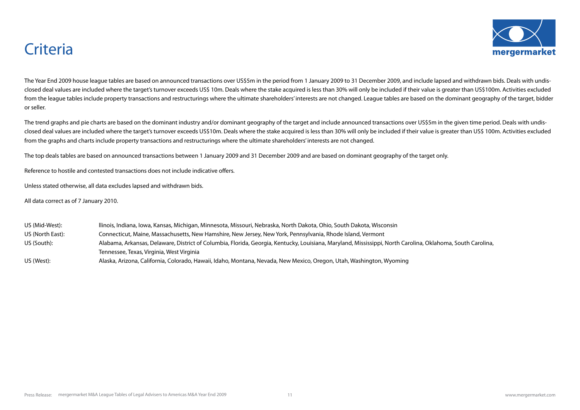

## **Criteria**

The Year End 2009 house league tables are based on announced transactions over US\$5m in the period from 1 January 2009 to 31 December 2009, and include lapsed and withdrawn bids. Deals with undisclosed deal values are included where the target's turnover exceeds US\$ 10m. Deals where the stake acquired is less than 30% will only be included if their value is greater than US\$100m. Activities excluded from the league tables include property transactions and restructurings where the ultimate shareholders' interests are not changed. League tables are based on the dominant geography of the target, bidder or seller.

The trend graphs and pie charts are based on the dominant industry and/or dominant geography of the target and include announced transactions over US\$5m in the given time period. Deals with undisclosed deal values are included where the target's turnover exceeds US\$10m. Deals where the stake acquired is less than 30% will only be included if their value is greater than US\$ 100m. Activities excluded from the graphs and charts include property transactions and restructurings where the ultimate shareholders' interests are not changed.

The top deals tables are based on announced transactions between 1 January 2009 and 31 December 2009 and are based on dominant geography of the target only.

Reference to hostile and contested transactions does not include indicative offers.

Unless stated otherwise, all data excludes lapsed and withdrawn bids.

All data correct as of 7 January 2010.

| US (Mid-West):   | Ilinois, Indiana, Iowa, Kansas, Michigan, Minnesota, Missouri, Nebraska, North Dakota, Ohio, South Dakota, Wisconsin                                       |
|------------------|------------------------------------------------------------------------------------------------------------------------------------------------------------|
| US (North East): | Connecticut, Maine, Massachusetts, New Hamshire, New Jersey, New York, Pennsylvania, Rhode Island, Vermont                                                 |
| US (South):      | Alabama, Arkansas, Delaware, District of Columbia, Florida, Georgia, Kentucky, Louisiana, Maryland, Mississippi, North Carolina, Oklahoma, South Carolina, |
|                  | Tennessee, Texas, Virginia, West Virginia                                                                                                                  |
| US (West):       | Alaska, Arizona, California, Colorado, Hawaii, Idaho, Montana, Nevada, New Mexico, Oregon, Utah, Washington, Wyoming                                       |